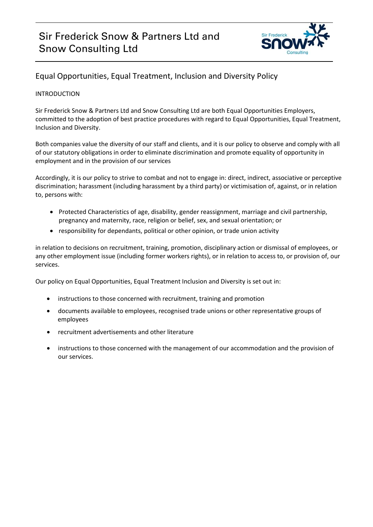

## Equal Opportunities, Equal Treatment, Inclusion and Diversity Policy

### INTRODUCTION

Sir Frederick Snow & Partners Ltd and Snow Consulting Ltd are both Equal Opportunities Employers, committed to the adoption of best practice procedures with regard to Equal Opportunities, Equal Treatment, Inclusion and Diversity.

Both companies value the diversity of our staff and clients, and it is our policy to observe and comply with all of our statutory obligations in order to eliminate discrimination and promote equality of opportunity in employment and in the provision of our services

Accordingly, it is our policy to strive to combat and not to engage in: direct, indirect, associative or perceptive discrimination; harassment (including harassment by a third party) or victimisation of, against, or in relation to, persons with:

- Protected Characteristics of age, disability, gender reassignment, marriage and civil partnership, pregnancy and maternity, race, religion or belief, sex, and sexual orientation; or
- responsibility for dependants, political or other opinion, or trade union activity

in relation to decisions on recruitment, training, promotion, disciplinary action or dismissal of employees, or any other employment issue (including former workers rights), or in relation to access to, or provision of, our services.

Our policy on Equal Opportunities, Equal Treatment Inclusion and Diversity is set out in:

- instructions to those concerned with recruitment, training and promotion
- documents available to employees, recognised trade unions or other representative groups of employees
- recruitment advertisements and other literature
- instructions to those concerned with the management of our accommodation and the provision of our services.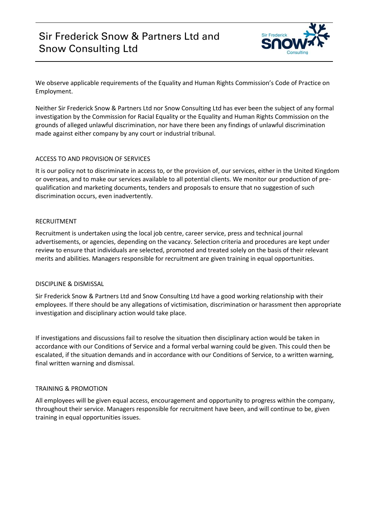# Sir Frederick Snow & Partners Ltd and Snow Consulting Ltd



We observe applicable requirements of the Equality and Human Rights Commission's Code of Practice on Employment.

Neither Sir Frederick Snow & Partners Ltd nor Snow Consulting Ltd has ever been the subject of any formal investigation by the Commission for Racial Equality or the Equality and Human Rights Commission on the grounds of alleged unlawful discrimination, nor have there been any findings of unlawful discrimination made against either company by any court or industrial tribunal.

#### ACCESS TO AND PROVISION OF SERVICES

It is our policy not to discriminate in access to, or the provision of, our services, either in the United Kingdom or overseas, and to make our services available to all potential clients. We monitor our production of prequalification and marketing documents, tenders and proposals to ensure that no suggestion of such discrimination occurs, even inadvertently.

#### RECRUITMENT

Recruitment is undertaken using the local job centre, career service, press and technical journal advertisements, or agencies, depending on the vacancy. Selection criteria and procedures are kept under review to ensure that individuals are selected, promoted and treated solely on the basis of their relevant merits and abilities. Managers responsible for recruitment are given training in equal opportunities.

#### DISCIPLINE & DISMISSAL

Sir Frederick Snow & Partners Ltd and Snow Consulting Ltd have a good working relationship with their employees. If there should be any allegations of victimisation, discrimination or harassment then appropriate investigation and disciplinary action would take place.

If investigations and discussions fail to resolve the situation then disciplinary action would be taken in accordance with our Conditions of Service and a formal verbal warning could be given. This could then be escalated, if the situation demands and in accordance with our Conditions of Service, to a written warning, final written warning and dismissal.

### TRAINING & PROMOTION

All employees will be given equal access, encouragement and opportunity to progress within the company, throughout their service. Managers responsible for recruitment have been, and will continue to be, given training in equal opportunities issues.